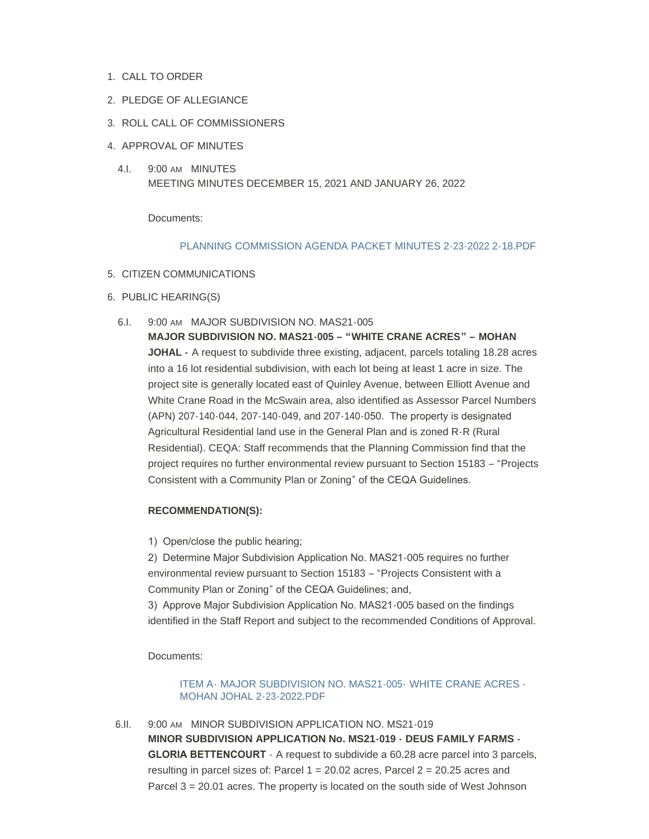- 1. CALL TO ORDER
- 2. PLEDGE OF ALLEGIANCE
- 3. ROLL CALL OF COMMISSIONERS
- 4. APPROVAL OF MINUTES
	- 4.I. 9:00 AM MINUTES MEETING MINUTES DECEMBER 15, 2021 AND JANUARY 26, 2022

Documents:

#### [PLANNING COMMISSION AGENDA PACKET MINUTES 2-23-2022 2-18.PDF](https://www.countyofmerced.com/AgendaCenter/ViewFile/Item/1769?fileID=20574)

#### 5. CITIZEN COMMUNICATIONS

- 6. PUBLIC HEARING(S)
	- 6.I. 9:00 AM MAJOR SUBDIVISION NO. MAS21-005

**MAJOR SUBDIVISION NO. MAS21-005 – "WHITE CRANE ACRES" – MOHAN JOHAL -** A request to subdivide three existing, adjacent, parcels totaling 18.28 acres into a 16 lot residential subdivision, with each lot being at least 1 acre in size. The project site is generally located east of Quinley Avenue, between Elliott Avenue and White Crane Road in the McSwain area, also identified as Assessor Parcel Numbers (APN) 207-140-044, 207-140-049, and 207-140-050. The property is designated Agricultural Residential land use in the General Plan and is zoned R-R (Rural Residential). CEQA: Staff recommends that the Planning Commission find that the project requires no further environmental review pursuant to Section 15183 – "Projects Consistent with a Community Plan or Zoning" of the CEQA Guidelines.

## **RECOMMENDATION(S):**

1) Open/close the public hearing;

2) Determine Major Subdivision Application No. MAS21-005 requires no further environmental review pursuant to Section 15183 – "Projects Consistent with a Community Plan or Zoning" of the CEQA Guidelines; and,

3) Approve Major Subdivision Application No. MAS21-005 based on the findings identified in the Staff Report and subject to the recommended Conditions of Approval.

Documents:

ITEM A- [MAJOR SUBDIVISION NO. MAS21-005-](https://www.countyofmerced.com/AgendaCenter/ViewFile/Item/1767?fileID=20572) WHITE CRANE ACRES - MOHAN JOHAL 2-23-2022.PDF

6.II. 9:00 AM MINOR SUBDIVISION APPLICATION NO. MS21-019 **MINOR SUBDIVISION APPLICATION No. MS21-019 - DEUS FAMILY FARMS - GLORIA BETTENCOURT**  $\cdot$  A request to subdivide a 60.28 acre parcel into 3 parcels, resulting in parcel sizes of: Parcel  $1 = 20.02$  acres, Parcel  $2 = 20.25$  acres and Parcel 3 = 20.01 acres. The property is located on the south side of West Johnson